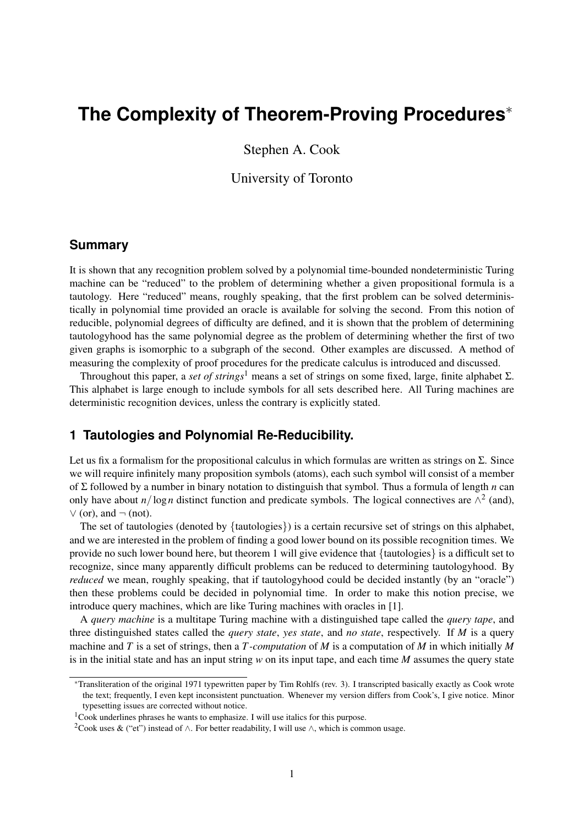# **The Complexity of Theorem-Proving Procedures**<sup>∗</sup>

Stephen A. Cook

## University of Toronto

## **Summary**

It is shown that any recognition problem solved by a polynomial time-bounded nondeterministic Turing machine can be "reduced" to the problem of determining whether a given propositional formula is a tautology. Here "reduced" means, roughly speaking, that the first problem can be solved deterministically in polynomial time provided an oracle is available for solving the second. From this notion of reducible, polynomial degrees of difficulty are defined, and it is shown that the problem of determining tautologyhood has the same polynomial degree as the problem of determining whether the first of two given graphs is isomorphic to a subgraph of the second. Other examples are discussed. A method of measuring the complexity of proof procedures for the predicate calculus is introduced and discussed.

Throughout this paper, a *set of strings*<sup>1</sup> means a set of strings on some fixed, large, finite alphabet  $\Sigma$ . This alphabet is large enough to include symbols for all sets described here. All Turing machines are deterministic recognition devices, unless the contrary is explicitly stated.

## **1 Tautologies and Polynomial Re-Reducibility.**

Let us fix a formalism for the propositional calculus in which formulas are written as strings on  $\Sigma$ . Since we will require infinitely many proposition symbols (atoms), each such symbol will consist of a member of Σ followed by a number in binary notation to distinguish that symbol. Thus a formula of length *n* can only have about  $n/\log n$  distinct function and predicate symbols. The logical connectives are  $\wedge^2$  (and),  $\vee$  (or), and  $\neg$  (not).

The set of tautologies (denoted by {tautologies}) is a certain recursive set of strings on this alphabet, and we are interested in the problem of finding a good lower bound on its possible recognition times. We provide no such lower bound here, but theorem 1 will give evidence that {tautologies} is a difficult set to recognize, since many apparently difficult problems can be reduced to determining tautologyhood. By *reduced* we mean, roughly speaking, that if tautologyhood could be decided instantly (by an "oracle") then these problems could be decided in polynomial time. In order to make this notion precise, we introduce query machines, which are like Turing machines with oracles in [1].

A *query machine* is a multitape Turing machine with a distinguished tape called the *query tape*, and three distinguished states called the *query state*, *yes state*, and *no state*, respectively. If *M* is a query machine and *T* is a set of strings, then a *T -computation* of *M* is a computation of *M* in which initially *M* is in the initial state and has an input string *w* on its input tape, and each time *M* assumes the query state

<sup>∗</sup>Transliteration of the original 1971 typewritten paper by Tim Rohlfs (rev. 3). I transcripted basically exactly as Cook wrote the text; frequently, I even kept inconsistent punctuation. Whenever my version differs from Cook's, I give notice. Minor typesetting issues are corrected without notice.

<sup>&</sup>lt;sup>1</sup>Cook underlines phrases he wants to emphasize. I will use italics for this purpose.

<sup>&</sup>lt;sup>2</sup>Cook uses & ("et") instead of  $\wedge$ . For better readability, I will use  $\wedge$ , which is common usage.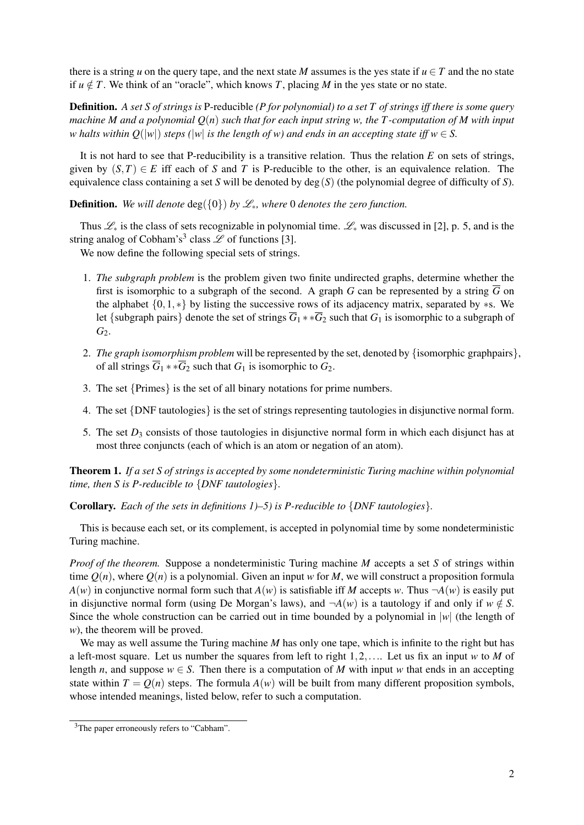there is a string *u* on the query tape, and the next state *M* assumes is the yes state if  $u \in T$  and the no state if  $u \notin T$ . We think of an "oracle", which knows *T*, placing *M* in the yes state or no state.

Definition. *A set S of strings is* P-reducible *(P for polynomial) to a set T of strings iff there is some query machine M and a polynomial Q*(*n*) *such that for each input string w, the T -computation of M with input w* halts within  $Q(|w|)$  *steps*  $(|w|$  *is the length of w) and ends in an accepting state iff*  $w \in S$ .

It is not hard to see that P-reducibility is a transitive relation. Thus the relation *E* on sets of strings, given by  $(S,T) \in E$  iff each of *S* and *T* is P-reducible to the other, is an equivalence relation. The equivalence class containing a set *S* will be denoted by  $deg(S)$  (the polynomial degree of difficulty of *S*).

**Definition.** *We will denote*  $\deg({0})$  *by*  $\mathcal{L}_*$ *, where* 0 *denotes the zero function.* 

Thus  $\mathcal{L}_*$  is the class of sets recognizable in polynomial time.  $\mathcal{L}_*$  was discussed in [2], p. 5, and is the string analog of Cobham's<sup>3</sup> class  $\mathscr L$  of functions [3].

We now define the following special sets of strings.

- 1. *The subgraph problem* is the problem given two finite undirected graphs, determine whether the first is isomorphic to a subgraph of the second. A graph *G* can be represented by a string  $\overline{G}$  on the alphabet {0,1,∗} by listing the successive rows of its adjacency matrix, separated by ∗s. We let {subgraph pairs} denote the set of strings  $\overline{G}_1$  \*  $\ast \overline{G}_2$  such that  $G_1$  is isomorphic to a subgraph of G<sub>2</sub>.
- 2. *The graph isomorphism problem* will be represented by the set, denoted by {isomorphic graphpairs}, of all strings  $\overline{G}_1$  \* \* $\overline{G}_2$  such that  $G_1$  is isomorphic to  $G_2$ .
- 3. The set {Primes} is the set of all binary notations for prime numbers.
- 4. The set {DNF tautologies} is the set of strings representing tautologies in disjunctive normal form.
- 5. The set *D*<sup>3</sup> consists of those tautologies in disjunctive normal form in which each disjunct has at most three conjuncts (each of which is an atom or negation of an atom).

Theorem 1. *If a set S of strings is accepted by some nondeterministic Turing machine within polynomial time, then S is P-reducible to* {*DNF tautologies*}*.*

Corollary. *Each of the sets in definitions 1)–5) is P-reducible to* {*DNF tautologies*}*.*

This is because each set, or its complement, is accepted in polynomial time by some nondeterministic Turing machine.

*Proof of the theorem.* Suppose a nondeterministic Turing machine *M* accepts a set *S* of strings within time  $O(n)$ , where  $O(n)$  is a polynomial. Given an input w for M, we will construct a proposition formula  $A(w)$  in conjunctive normal form such that  $A(w)$  is satisfiable iff *M* accepts *w*. Thus  $\neg A(w)$  is easily put in disjunctive normal form (using De Morgan's laws), and  $\neg A(w)$  is a tautology if and only if  $w \notin S$ . Since the whole construction can be carried out in time bounded by a polynomial in |*w*| (the length of *w*), the theorem will be proved.

We may as well assume the Turing machine *M* has only one tape, which is infinite to the right but has a left-most square. Let us number the squares from left to right 1,2,.... Let us fix an input *w* to *M* of length *n*, and suppose  $w \in S$ . Then there is a computation of *M* with input *w* that ends in an accepting state within  $T = Q(n)$  steps. The formula  $A(w)$  will be built from many different proposition symbols, whose intended meanings, listed below, refer to such a computation.

<sup>&</sup>lt;sup>3</sup>The paper erroneously refers to "Cabham".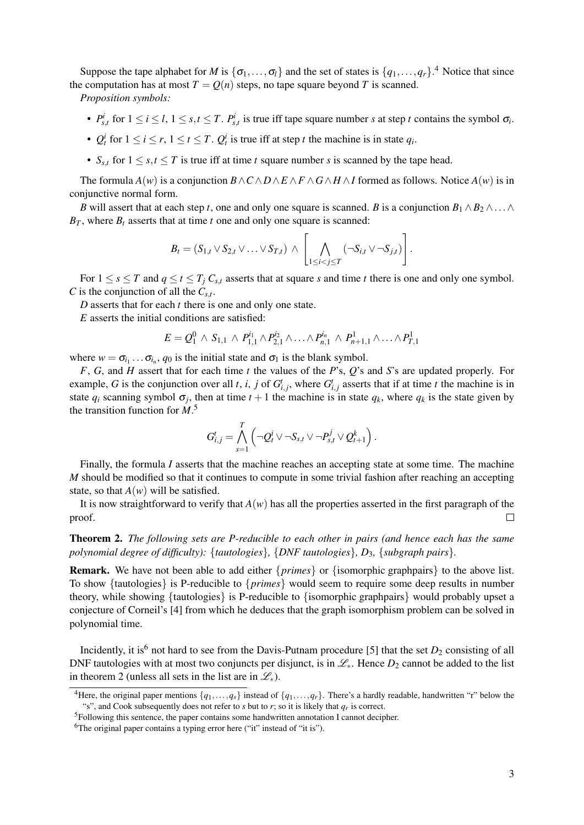Suppose the tape alphabet for *M* is  $\{\sigma_1, \ldots, \sigma_l\}$  and the set of states is  $\{q_1, \ldots, q_r\}$ .<sup>4</sup> Notice that since the computation has at most  $T = Q(n)$  steps, no tape square beyond *T* is scanned.

*Proposition symbols:*

- $P_{s,t}^i$  for  $1 \le i \le l$ ,  $1 \le s,t \le T$ .  $P_{s,t}^i$  is true iff tape square number s at step t contains the symbol  $\sigma_i$ .
- $Q_t^i$  for  $1 \le i \le r$ ,  $1 \le t \le T$ .  $Q_t^i$  is true iff at step *t* the machine is in state  $q_i$ .
- $S_{s,t}$  for  $1 \leq s,t \leq T$  is true iff at time *t* square number *s* is scanned by the tape head.

The formula  $A(w)$  is a conjunction  $B \wedge C \wedge D \wedge E \wedge F \wedge G \wedge H \wedge I$  formed as follows. Notice  $A(w)$  is in conjunctive normal form.

*B* will assert that at each step *t*, one and only one square is scanned. *B* is a conjunction  $B_1 \wedge B_2 \wedge \ldots \wedge B_n$  $B_T$ , where  $B_t$  asserts that at time *t* one and only one square is scanned:

$$
B_t = (S_{1,t} \vee S_{2,t} \vee \ldots \vee S_{T,t}) \wedge \left[ \bigwedge_{1 \leq i < j \leq T} (\neg S_{i,t} \vee \neg S_{j,t}) \right].
$$

For  $1 \leq s \leq T$  and  $q \leq t \leq T_j C_{s,t}$  asserts that at square *s* and time *t* there is one and only one symbol. *C* is the conjunction of all the  $C_{s,t}$ .

*D* asserts that for each *t* there is one and only one state.

*E* asserts the initial conditions are satisfied:

$$
E = Q_1^0 \wedge S_{1,1} \wedge P_{1,1}^{i_1} \wedge P_{2,1}^{i_2} \wedge \ldots \wedge P_{n,1}^{i_n} \wedge P_{n+1,1}^1 \wedge \ldots \wedge P_{T,1}^1
$$

where  $w = \sigma_{i_1} \dots \sigma_{i_n}$ ,  $q_0$  is the initial state and  $\sigma_1$  is the blank symbol.

*F*, *G*, and *H* assert that for each time *t* the values of the *P*'s, *Q*'s and *S*'s are updated properly. For example, *G* is the conjunction over all *t*, *i*, *j* of  $G_{i,j}^t$ , where  $G_{i,j}^t$  asserts that if at time *t* the machine is in state  $q_i$  scanning symbol  $\sigma_j$ , then at time  $t+1$  the machine is in state  $q_k$ , where  $q_k$  is the state given by the transition function for *M*. 5

$$
G_{i,j}^t = \bigwedge_{s=1}^T \left(\neg Q_t^i \vee \neg S_{s,t} \vee \neg P_{s,t}^j \vee Q_{t+1}^k\right).
$$

Finally, the formula *I* asserts that the machine reaches an accepting state at some time. The machine *M* should be modified so that it continues to compute in some trivial fashion after reaching an accepting state, so that  $A(w)$  will be satisfied.

It is now straightforward to verify that  $A(w)$  has all the properties asserted in the first paragraph of the proof.  $\Box$ 

Theorem 2. *The following sets are P-reducible to each other in pairs (and hence each has the same polynomial degree of difficulty):* {*tautologies*}*,* {*DNF tautologies*}*, D*3*,* {*subgraph pairs*}*.*

Remark. We have not been able to add either {*primes*} or {isomorphic graphpairs} to the above list. To show {tautologies} is P-reducible to {*primes*} would seem to require some deep results in number theory, while showing {tautologies} is P-reducible to {isomorphic graphpairs} would probably upset a conjecture of Corneil's [4] from which he deduces that the graph isomorphism problem can be solved in polynomial time.

Incidently, it is<sup>6</sup> not hard to see from the Davis-Putnam procedure [5] that the set  $D_2$  consisting of all DNF tautologies with at most two conjuncts per disjunct, is in  $\mathcal{L}_*$ . Hence  $D_2$  cannot be added to the list in theorem 2 (unless all sets in the list are in  $\mathscr{L}_*$ ).

<sup>&</sup>lt;sup>4</sup>Here, the original paper mentions  $\{q_1,\ldots,q_r\}$  instead of  $\{q_1,\ldots,q_r\}$ . There's a hardly readable, handwritten "r" below the "s", and Cook subsequently does not refer to *s* but to *r*; so it is likely that  $q_r$  is correct.

<sup>5</sup>Following this sentence, the paper contains some handwritten annotation I cannot decipher.

<sup>&</sup>lt;sup>6</sup>The original paper contains a typing error here ("it" instead of "it is").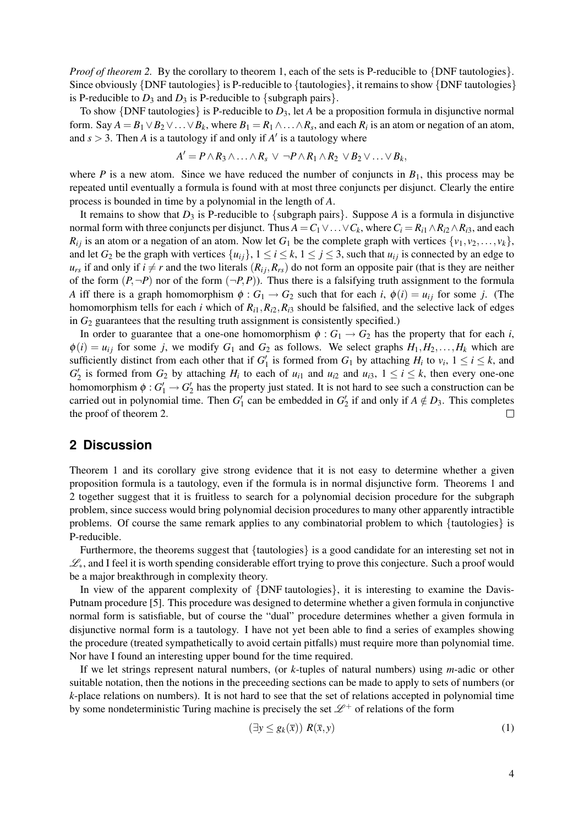*Proof of theorem 2.* By the corollary to theorem 1, each of the sets is P-reducible to {DNF tautologies}. Since obviously {DNF tautologies} is P-reducible to {tautologies}, it remains to show {DNF tautologies} is P-reducible to  $D_3$  and  $D_3$  is P-reducible to {subgraph pairs}.

To show  $\{DNF \text{ tautologies} \}$  is P-reducible to  $D_3$ , let *A* be a proposition formula in disjunctive normal form. Say  $A = B_1 \vee B_2 \vee \ldots \vee B_k$ , where  $B_1 = R_1 \wedge \ldots \wedge R_s$ , and each  $R_i$  is an atom or negation of an atom, and  $s > 3$ . Then *A* is a tautology if and only if *A'* is a tautology where

$$
A'=P\wedge R_3\wedge\ldots\wedge R_s\vee\neg P\wedge R_1\wedge R_2\vee B_2\vee\ldots\vee B_k,
$$

where *P* is a new atom. Since we have reduced the number of conjuncts in  $B_1$ , this process may be repeated until eventually a formula is found with at most three conjuncts per disjunct. Clearly the entire process is bounded in time by a polynomial in the length of *A*.

It remains to show that  $D_3$  is P-reducible to {subgraph pairs}. Suppose *A* is a formula in disjunctive normal form with three conjuncts per disjunct. Thus  $A = C_1 \vee \ldots \vee C_k$ , where  $C_i = R_{i1} \wedge R_{i2} \wedge R_{i3}$ , and each  $R_{ij}$  is an atom or a negation of an atom. Now let  $G_1$  be the complete graph with vertices  $\{v_1, v_2, \ldots, v_k\}$ , and let  $G_2$  be the graph with vertices  $\{u_{ij}\}\$ ,  $1 \le i \le k$ ,  $1 \le j \le 3$ , such that  $u_{ij}$  is connected by an edge to  $u_{rs}$  if and only if  $i \neq r$  and the two literals  $(R_{ij}, R_{rs})$  do not form an opposite pair (that is they are neither of the form  $(P, \neg P)$  nor of the form  $(\neg P, P)$ ). Thus there is a falsifying truth assignment to the formula *A* iff there is a graph homomorphism  $\phi$  :  $G_1 \rightarrow G_2$  such that for each *i*,  $\phi(i) = u_{ij}$  for some *j*. (The homomorphism tells for each *i* which of  $R_{i1}$ ,  $R_{i2}$ ,  $R_{i3}$  should be falsified, and the selective lack of edges in  $G_2$  guarantees that the resulting truth assignment is consistently specified.)

In order to guarantee that a one-one homomorphism  $\phi$  :  $G_1 \rightarrow G_2$  has the property that for each *i*,  $\phi(i) = u_{ij}$  for some *j*, we modify  $G_1$  and  $G_2$  as follows. We select graphs  $H_1, H_2, \ldots, H_k$  which are sufficiently distinct from each other that if  $G'_1$  is formed from  $G_1$  by attaching  $H_i$  to  $v_i$ ,  $1 \le i \le k$ , and  $G_2'$  is formed from  $G_2$  by attaching  $H_i$  to each of  $u_{i1}$  and  $u_{i2}$  and  $u_{i3}$ ,  $1 \le i \le k$ , then every one-one homomorphism  $\phi: G_1' \to G_2'$  has the property just stated. It is not hard to see such a construction can be carried out in polynomial time. Then  $G'_1$  can be embedded in  $G'_2$  if and only if  $A \notin D_3$ . This completes the proof of theorem 2.  $\Box$ 

## **2 Discussion**

Theorem 1 and its corollary give strong evidence that it is not easy to determine whether a given proposition formula is a tautology, even if the formula is in normal disjunctive form. Theorems 1 and 2 together suggest that it is fruitless to search for a polynomial decision procedure for the subgraph problem, since success would bring polynomial decision procedures to many other apparently intractible problems. Of course the same remark applies to any combinatorial problem to which {tautologies} is P-reducible.

Furthermore, the theorems suggest that {tautologies} is a good candidate for an interesting set not in L∗, and I feel it is worth spending considerable effort trying to prove this conjecture. Such a proof would be a major breakthrough in complexity theory.

In view of the apparent complexity of {DNF tautologies}, it is interesting to examine the Davis-Putnam procedure [5]. This procedure was designed to determine whether a given formula in conjunctive normal form is satisfiable, but of course the "dual" procedure determines whether a given formula in disjunctive normal form is a tautology. I have not yet been able to find a series of examples showing the procedure (treated sympathetically to avoid certain pitfalls) must require more than polynomial time. Nor have I found an interesting upper bound for the time required.

If we let strings represent natural numbers, (or *k*-tuples of natural numbers) using *m*-adic or other suitable notation, then the notions in the preceeding sections can be made to apply to sets of numbers (or *k*-place relations on numbers). It is not hard to see that the set of relations accepted in polynomial time by some nondeterministic Turing machine is precisely the set  $\mathcal{L}^+$  of relations of the form

$$
(\exists y \le g_k(\overline{x})) \ R(\overline{x}, y) \tag{1}
$$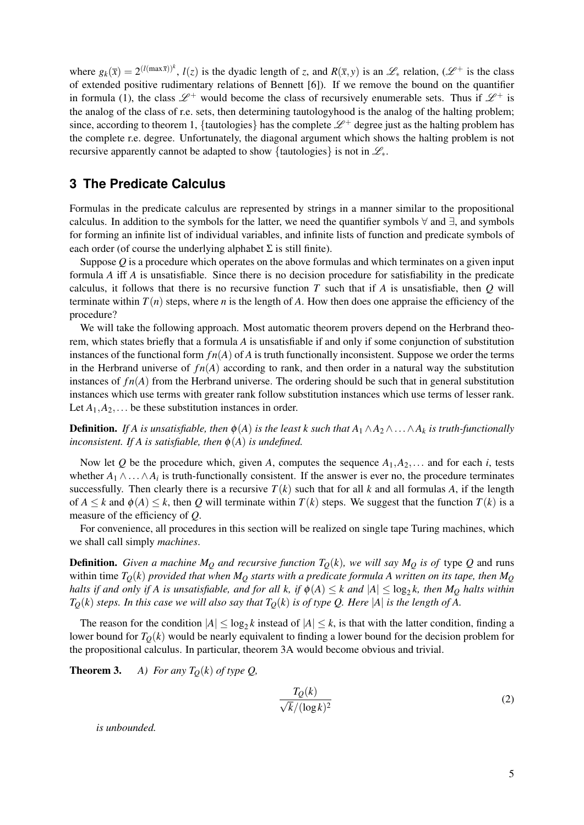where  $g_k(\bar{x}) = 2^{(l(\max \bar{x}))^k}$ ,  $l(z)$  is the dyadic length of *z*, and  $R(\bar{x}, y)$  is an  $\mathscr{L}_*$  relation,  $(\mathscr{L}^+$  is the class of extended positive rudimentary relations of Bennett [6]). If we remove the bound on the quantifier in formula (1), the class  $\mathscr{L}^+$  would become the class of recursively enumerable sets. Thus if  $\mathscr{L}^+$  is the analog of the class of r.e. sets, then determining tautologyhood is the analog of the halting problem; since, according to theorem 1, {tautologies} has the complete  $\mathcal{L}^+$  degree just as the halting problem has the complete r.e. degree. Unfortunately, the diagonal argument which shows the halting problem is not recursive apparently cannot be adapted to show {tautologies} is not in  $\mathcal{L}_{*}$ .

## **3 The Predicate Calculus**

Formulas in the predicate calculus are represented by strings in a manner similar to the propositional calculus. In addition to the symbols for the latter, we need the quantifier symbols  $\forall$  and  $\exists$ , and symbols for forming an infinite list of individual variables, and infinite lists of function and predicate symbols of each order (of course the underlying alphabet  $\Sigma$  is still finite).

Suppose Q is a procedure which operates on the above formulas and which terminates on a given input formula *A* iff *A* is unsatisfiable. Since there is no decision procedure for satisfiability in the predicate calculus, it follows that there is no recursive function *T* such that if *A* is unsatisfiable, then *Q* will terminate within  $T(n)$  steps, where *n* is the length of *A*. How then does one appraise the efficiency of the procedure?

We will take the following approach. Most automatic theorem provers depend on the Herbrand theorem, which states briefly that a formula *A* is unsatisfiable if and only if some conjunction of substitution instances of the functional form  $fn(A)$  of *A* is truth functionally inconsistent. Suppose we order the terms in the Herbrand universe of  $fn(A)$  according to rank, and then order in a natural way the substitution instances of  $fn(A)$  from the Herbrand universe. The ordering should be such that in general substitution instances which use terms with greater rank follow substitution instances which use terms of lesser rank. Let  $A_1, A_2, \ldots$  be these substitution instances in order.

**Definition.** *If A is unsatisfiable, then*  $\phi(A)$  *is the least k such that*  $A_1 \wedge A_2 \wedge \ldots \wedge A_k$  *is truth-functionally inconsistent. If A is satisfiable, then*  $\phi(A)$  *is undefined.* 

Now let Q be the procedure which, given A, computes the sequence  $A_1, A_2, \ldots$  and for each *i*, tests whether  $A_1 \wedge \ldots \wedge A_i$  is truth-functionally consistent. If the answer is ever no, the procedure terminates successfully. Then clearly there is a recursive  $T(k)$  such that for all k and all formulas A, if the length of  $A \le k$  and  $\phi(A) \le k$ , then *Q* will terminate within  $T(k)$  steps. We suggest that the function  $T(k)$  is a measure of the efficiency of *Q*.

For convenience, all procedures in this section will be realized on single tape Turing machines, which we shall call simply *machines*.

**Definition.** Given a machine  $M<sub>O</sub>$  and recursive function  $T<sub>O</sub>(k)$ , we will say  $M<sub>O</sub>$  is of type Q and runs within time  $T<sub>O</sub>(k)$  provided that when  $M<sub>O</sub>$  starts with a predicate formula A written on its tape, then  $M<sub>O</sub>$ *halts if and only if A is unsatisfiable, and for all k, if*  $\phi(A) \leq k$  and  $|A| \leq \log_2 k$ , then  $M_Q$  halts within  $T<sub>O</sub>(k)$  *steps. In this case we will also say that*  $T<sub>O</sub>(k)$  *is of type Q. Here* |*A*| *is the length of A.* 

The reason for the condition  $|A| \le \log_2 k$  instead of  $|A| \le k$ , is that with the latter condition, finding a lower bound for  $T<sub>O</sub>(k)$  would be nearly equivalent to finding a lower bound for the decision problem for the propositional calculus. In particular, theorem 3A would become obvious and trivial.

**Theorem 3.** *A) For any T*<sub> $Q$ </sub>(*k*) *of type Q*,

$$
\frac{T_Q(k)}{\sqrt{k}/(\log k)^2} \tag{2}
$$

*is unbounded.*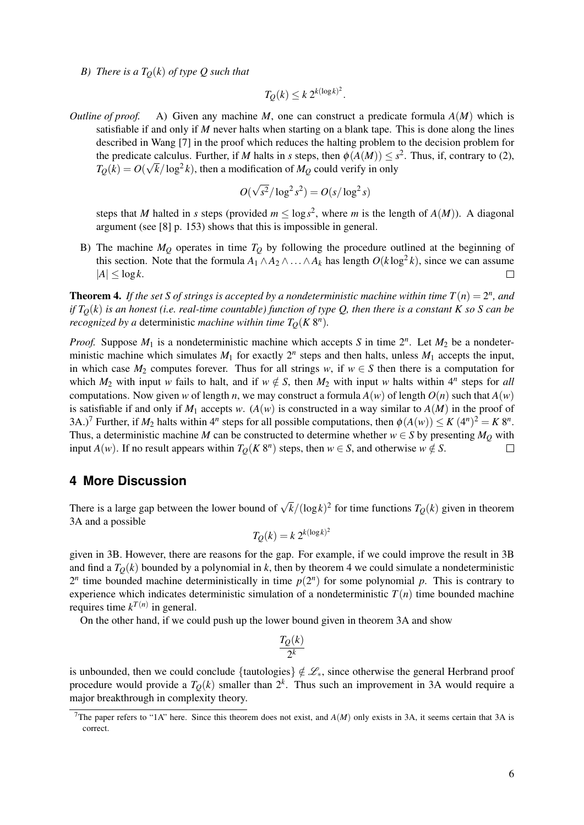*B)* There is a  $T<sub>O</sub>(k)$  of type Q such that

$$
T_Q(k) \leq k \, 2^{k(\log k)^2}.
$$

*Outline of proof.* A) Given any machine *M*, one can construct a predicate formula *A*(*M*) which is satisfiable if and only if *M* never halts when starting on a blank tape. This is done along the lines described in Wang [7] in the proof which reduces the halting problem to the decision problem for the predicate calculus. Further, if *M* halts in *s* steps, then  $\phi(A(M)) \leq s^2$ . Thus, if, contrary to (2),  $T_Q(k) = O(\sqrt{k}/\log^2 k)$ , then a modification of  $M_Q$  could verify in only

$$
O(\sqrt{s^2}/\log^2 s^2) = O(s/\log^2 s)
$$

steps that *M* halted in *s* steps (provided  $m \le \log s^2$ , where *m* is the length of  $A(M)$ ). A diagonal argument (see [8] p. 153) shows that this is impossible in general.

B) The machine  $M_Q$  operates in time  $T_Q$  by following the procedure outlined at the beginning of this section. Note that the formula  $A_1 \wedge A_2 \wedge ... \wedge A_k$  has length  $O(k \log^2 k)$ , since we can assume  $|A| < \log k$ .  $\Box$ 

**Theorem 4.** If the set S of strings is accepted by a nondeterministic machine within time  $T(n) = 2^n$ , and *if*  $T_Q(k)$  *is an honest (i.e. real-time countable) function of type Q, then there is a constant K so S can be recognized by a deterministic machine within time*  $T_Q(K 8^n)$ *.* 

*Proof.* Suppose  $M_1$  is a nondeterministic machine which accepts *S* in time  $2^n$ . Let  $M_2$  be a nondeterministic machine which simulates  $M_1$  for exactly  $2^n$  steps and then halts, unless  $M_1$  accepts the input, in which case  $M_2$  computes forever. Thus for all strings *w*, if  $w \in S$  then there is a computation for which  $M_2$  with input *w* fails to halt, and if  $w \notin S$ , then  $M_2$  with input *w* halts within  $4^n$  steps for *all* computations. Now given *w* of length *n*, we may construct a formula  $A(w)$  of length  $O(n)$  such that  $A(w)$ is satisfiable if and only if  $M_1$  accepts w.  $(A(w)$  is constructed in a way similar to  $A(M)$  in the proof of 3A.)<sup>7</sup> Further, if  $M_2$  halts within  $4^n$  steps for all possible computations, then  $\phi(A(w)) \le K (4^n)^2 = K 8^n$ . Thus, a deterministic machine *M* can be constructed to determine whether  $w \in S$  by presenting  $M_Q$  with input *A*(*w*). If no result appears within  $T_Q(K 8^n)$  steps, then  $w \in S$ , and otherwise  $w \notin S$ .  $\Box$ 

## **4 More Discussion**

There is a large gap between the lower bound of  $\sqrt{k}/(\log k)^2$  for time functions  $T_Q(k)$  given in theorem 3A and a possible

$$
T_Q(k) = k 2^{k(\log k)^2}
$$

given in 3B. However, there are reasons for the gap. For example, if we could improve the result in 3B and find a  $T<sub>O</sub>(k)$  bounded by a polynomial in *k*, then by theorem 4 we could simulate a nondeterministic  $2^n$  time bounded machine deterministically in time  $p(2^n)$  for some polynomial p. This is contrary to experience which indicates deterministic simulation of a nondeterministic  $T(n)$  time bounded machine requires time  $k^{T(n)}$  in general.

On the other hand, if we could push up the lower bound given in theorem 3A and show

$$
\frac{T_Q(k)}{2^k}
$$

is unbounded, then we could conclude {tautologies}  $\notin \mathcal{L}_*$ , since otherwise the general Herbrand proof procedure would provide a  $T_Q(k)$  smaller than  $2^k$ . Thus such an improvement in 3A would require a major breakthrough in complexity theory.

<sup>&</sup>lt;sup>7</sup>The paper refers to "1A" here. Since this theorem does not exist, and  $A(M)$  only exists in 3A, it seems certain that 3A is correct.